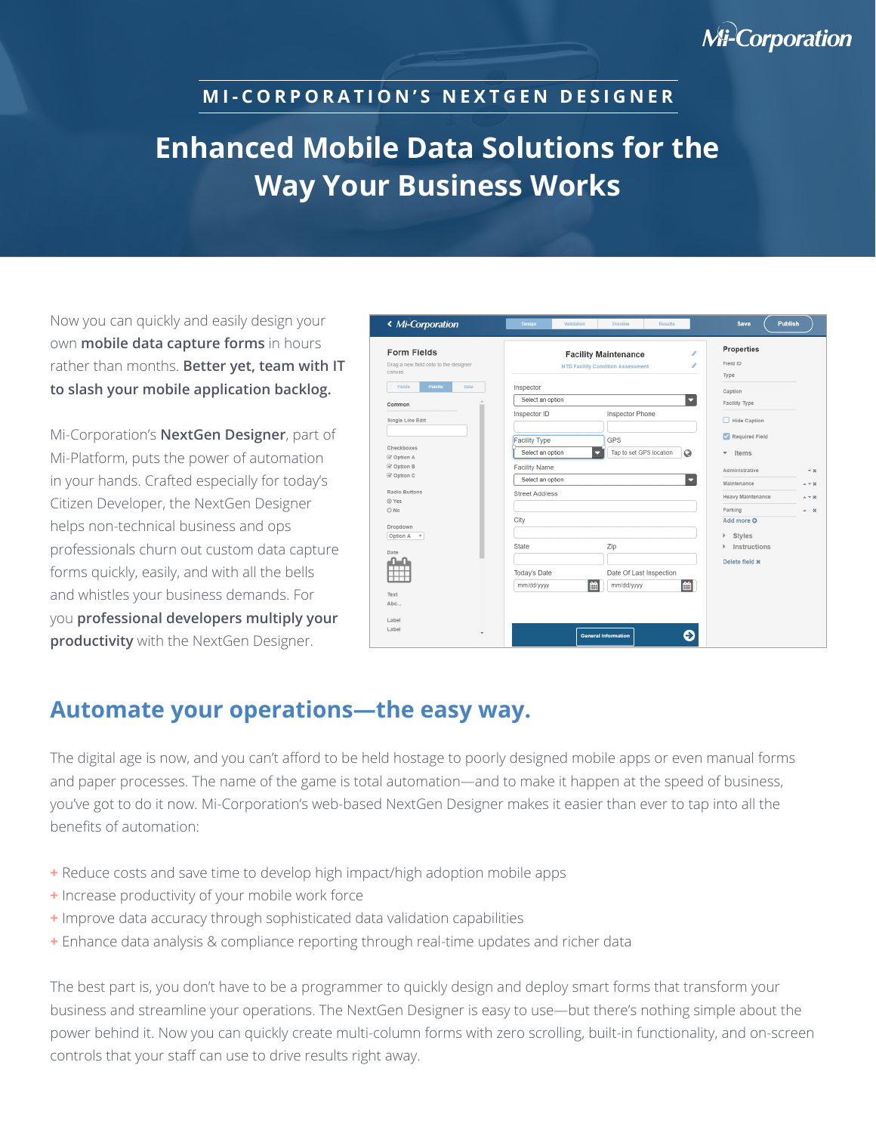## **Mi-Corporation**

#### **M I - C O R P O R A T I O N ' S N E X T G E N D E S I G N E R**

# **Enhanced Mobile Data Solutions for the Way Your Business Works**

Now you can quickly and easily design your own **mobile data capture forms** in hours rather than months. **Better yet, team with IT to slash your mobile application backlog.** 

Mi-Corporation's **NextGen Designer**, part of Mi-Platform, puts the power of automation in your hands. Crafted especially for today's Citizen Developer, the NextGen Designer helps non-technical business and ops professionals churn out custom data capture forms quickly, easily, and with all the bells and whistles your business demands. For you **professional developers multiply your productivity** with the NextGen Designer.

| « Mi-Corporation                                                       | <b>Design</b><br>Validation<br>Preview<br><b>Results</b>                                                            | <b>Publish</b><br><b>Save</b>                                                             |
|------------------------------------------------------------------------|---------------------------------------------------------------------------------------------------------------------|-------------------------------------------------------------------------------------------|
| <b>Form Fields</b><br>Drag a new field onto to the designer<br>canvas. | v<br><b>Facility Maintenance</b><br>i<br><b>NTD Facility Condition Assessment</b>                                   | <b>Properties</b><br>Field ID<br>Type                                                     |
| Fields<br>Palette<br>Data<br>Common                                    | Inspector<br>Select an option<br>$\overline{\phantom{a}}$                                                           | Caption<br><b>Facility Type</b>                                                           |
| <b>Single Line Edit</b>                                                | Inspector ID<br><b>Inspector Phone</b>                                                                              | Hide Caption<br>Required Field                                                            |
| Checkboxes<br><b>⊗</b> Option A<br><b>⊗</b> Option B                   | <b>GPS</b><br><b>Facility Type</b><br>Tap to set GPS location<br>Select an option<br>Q<br>۰<br><b>Facility Name</b> | Items<br>۰                                                                                |
| <b>⊗</b> Option C<br><b>Radio Buttons</b>                              | Select an option<br>۳<br><b>Street Address</b>                                                                      | Administrative<br>$- x$<br>Maintenance<br>$A = 30$<br><b>Heavy Maintenance</b><br>$+ + x$ |
| O Yes<br>O No<br>Dropdown                                              | City                                                                                                                | Parking<br>$\sim$ $\infty$<br>Add more O                                                  |
| <b>Option A</b><br>$\boldsymbol{\mathrm{v}}$<br>Date                   | Zip<br><b>State</b>                                                                                                 | <b>Styles</b><br>Þ<br><b>Instructions</b>                                                 |
|                                                                        | Date Of Last Inspection<br><b>Today's Date</b><br>雦<br>曲<br>mm/dd/yyyy<br>mm/dd/yyyy                                | Delete field x                                                                            |
| Text<br>Abc                                                            |                                                                                                                     |                                                                                           |
| Label<br>Label<br>٠                                                    | ∍<br><b>General Information</b>                                                                                     |                                                                                           |

### **Automate your operations—the easy way.**

The digital age is now, and you can't afford to be held hostage to poorly designed mobile apps or even manual forms and paper processes. The name of the game is total automation—and to make it happen at the speed of business, you've got to do it now. Mi-Corporation's web-based NextGen Designer makes it easier than ever to tap into all the benefits of automation:

- **+** Reduce costs and save time to develop high impact/high adoption mobile apps
- **+** Increase productivity of your mobile work force
- **+** Improve data accuracy through sophisticated data validation capabilities
- **+** Enhance data analysis & compliance reporting through real-time updates and richer data

The best part is, you don't have to be a programmer to quickly design and deploy smart forms that transform your business and streamline your operations. The NextGen Designer is easy to use—but there's nothing simple about the power behind it. Now you can quickly create multi-column forms with zero scrolling, built-in functionality, and on-screen controls that your staff can use to drive results right away.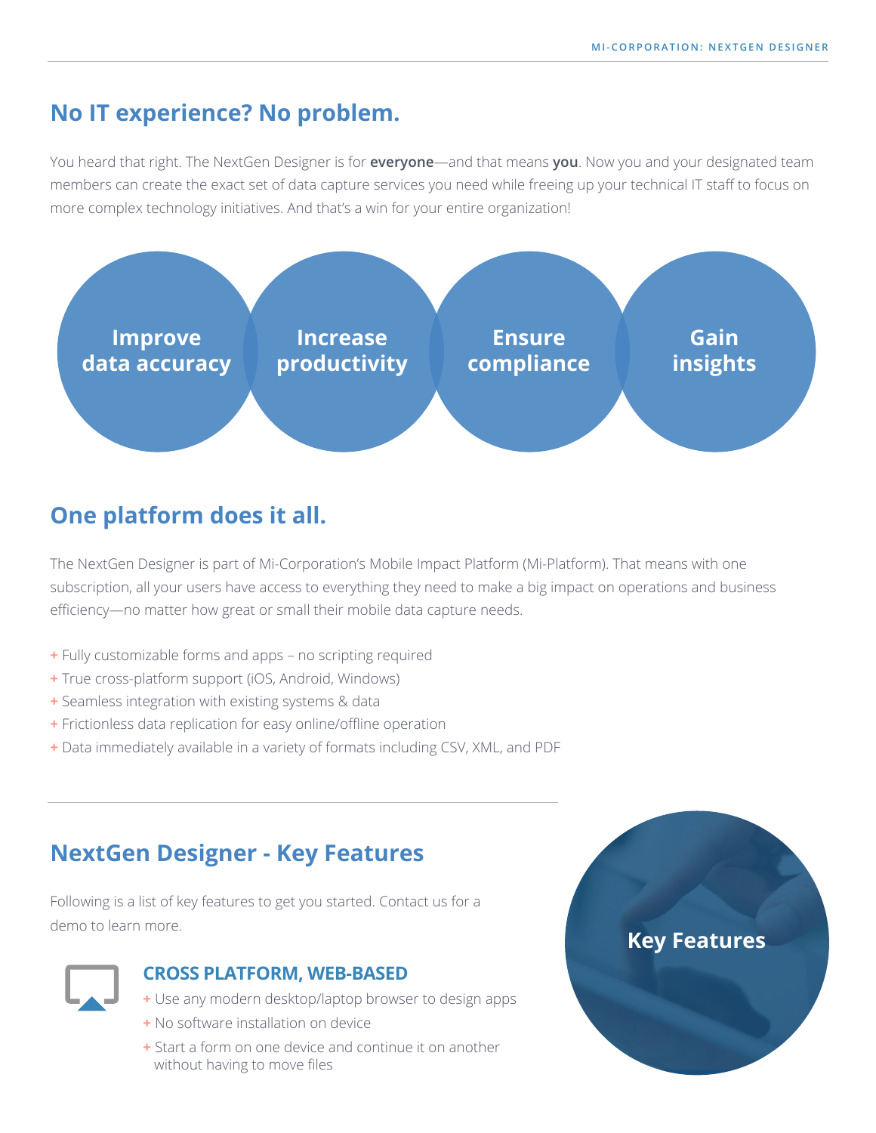### **No IT experience? No problem.**

You heard that right. The NextGen Designer is for **everyone**—and that means **you**. Now you and your designated team members can create the exact set of data capture services you need while freeing up your technical IT staff to focus on more complex technology initiatives. And that's a win for your entire organization!



# **One platform does it all.**

The NextGen Designer is part of Mi-Corporation's Mobile Impact Platform (Mi-Platform). That means with one subscription, all your users have access to everything they need to make a big impact on operations and business efficiency—no matter how great or small their mobile data capture needs.

- **+** Fully customizable forms and apps no scripting required
- **+** True cross-platform support (iOS, Android, Windows)
- **+** Seamless integration with existing systems & data
- **+** Frictionless data replication for easy online/offline operation
- **+** Data immediately available in a variety of formats including CSV, XML, and PDF

### **NextGen Designer - Key Features**

Following is a list of key features to get you started. Contact us for a demo to learn more.



#### **CROSS PLATFORM, WEB-BASED**

- **+** Use any modern desktop/laptop browser to design apps
- **+** No software installation on device
- **+** Start a form on one device and continue it on another without having to move files